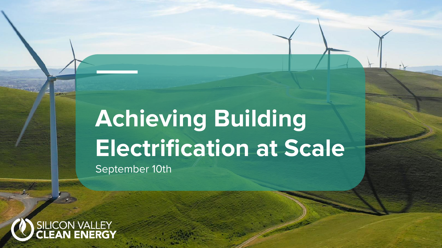## **New Achieving Building Post Point Report Fields** September 10th



ersetten von der Subtitution der Statt der Statt der Statt der Statt der Statt der Statt der Statt der Statt d<br>Ein der Statt der Statt der Statt der Statt der Statt der Statt der Statt der Statt der Statt der Statt der St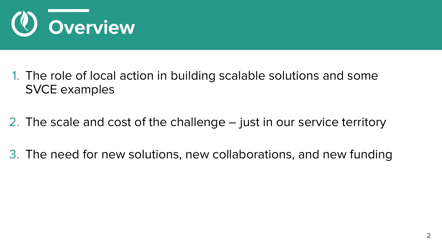

- 1. The role of local action in building scalable solutions and some SVCE examples
- 2. The scale and cost of the challenge just in our service territory
- 3. The need for new solutions, new collaborations, and new funding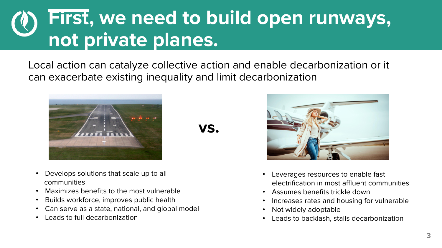## **First, we need to build open runways, not private planes.**

Local action can catalyze collective action and enable decarbonization or it can exacerbate existing inequality and limit decarbonization



**vs.**

- Develops solutions that scale up to all communities
- Maximizes benefits to the most vulnerable
- Builds workforce, improves public health
- Can serve as a state, national, and global model
- Leads to full decarbonization



- Leverages resources to enable fast electrification in most affluent communities
- Assumes benefits trickle down
- Increases rates and housing for vulnerable
- Not widely adoptable
- Leads to backlash, stalls decarbonization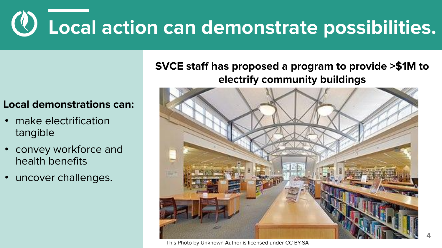# **Local action can demonstrate possibilities.**

### **Local demonstrations can:**

- make electrification tangible
- convey workforce and health benefits
- uncover challenges.

### **SVCE staff has proposed a program to provide >\$1M to electrify community buildings**



[This Photo](https://en.wikipedia.org/wiki/Santa_Clara,_California) by Unknown Author is licensed under [CC BY-SA](https://creativecommons.org/licenses/by-sa/3.0/)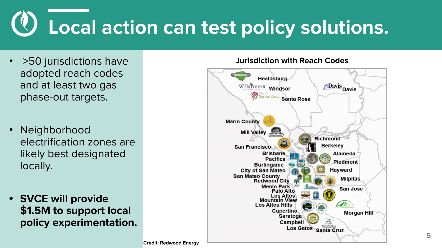# **Local action can test policy solutions.**

- >50 jurisdictions have adopted reach codes and at least two gas phase-out targets.
- **Neighborhood** electrification zones are likely best designated locally.
- **• SVCE will provide \$1.5M to support local policy experimentation.**

#### **Jurisdiction with Reach Codes**

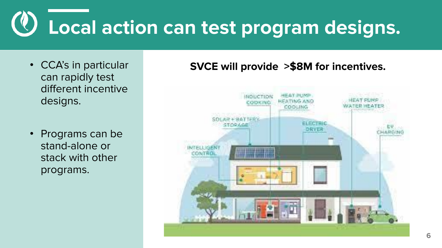# **Local action can test program designs.**

- CCA's in particular can rapidly test different incentive designs.
- Programs can be stand-alone or stack with other programs.

### **SVCE will provide >\$8M for incentives.**

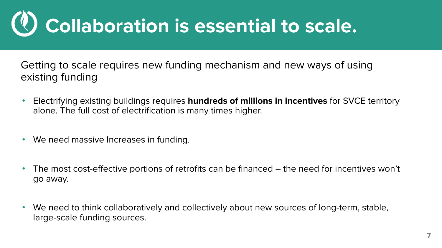## **Collaboration is essential to scale.**

Getting to scale requires new funding mechanism and new ways of using existing funding

- Electrifying existing buildings requires **hundreds of millions in incentives** for SVCE territory alone. The full cost of electrification is many times higher.
- We need massive Increases in funding.
- The most cost-effective portions of retrofits can be financed the need for incentives won't go away.
- We need to think collaboratively and collectively about new sources of long-term, stable, large-scale funding sources.